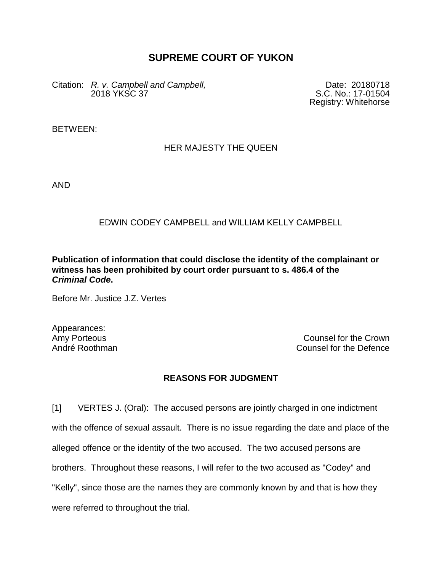## **SUPREME COURT OF YUKON**

Citation: *R. v. Campbell and Campbell,*  2018 YKSC 37

Date: 20180718 S.C. No.: 17-01504 Registry: Whitehorse

BETWEEN:

## HER MAJESTY THE QUEEN

AND

## EDWIN CODEY CAMPBELL and WILLIAM KELLY CAMPBELL

**Publication of information that could disclose the identity of the complainant or witness has been prohibited by court order pursuant to s. 486.4 of the**  *Criminal Code***.**

Before Mr. Justice J.Z. Vertes

Appearances:

Amy Porteous **Counsel for the Crown** André Roothman Counsel for the Defence

## **REASONS FOR JUDGMENT**

[1] VERTES J. (Oral): The accused persons are jointly charged in one indictment with the offence of sexual assault. There is no issue regarding the date and place of the alleged offence or the identity of the two accused. The two accused persons are brothers. Throughout these reasons, I will refer to the two accused as "Codey" and "Kelly", since those are the names they are commonly known by and that is how they were referred to throughout the trial.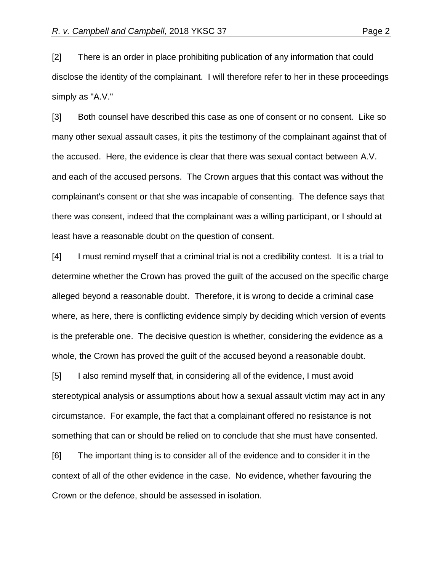[2] There is an order in place prohibiting publication of any information that could disclose the identity of the complainant. I will therefore refer to her in these proceedings simply as "A.V."

[3] Both counsel have described this case as one of consent or no consent. Like so many other sexual assault cases, it pits the testimony of the complainant against that of the accused. Here, the evidence is clear that there was sexual contact between A.V. and each of the accused persons. The Crown argues that this contact was without the complainant's consent or that she was incapable of consenting. The defence says that there was consent, indeed that the complainant was a willing participant, or I should at least have a reasonable doubt on the question of consent.

[4] I must remind myself that a criminal trial is not a credibility contest. It is a trial to determine whether the Crown has proved the guilt of the accused on the specific charge alleged beyond a reasonable doubt. Therefore, it is wrong to decide a criminal case where, as here, there is conflicting evidence simply by deciding which version of events is the preferable one. The decisive question is whether, considering the evidence as a whole, the Crown has proved the guilt of the accused beyond a reasonable doubt.

[5] I also remind myself that, in considering all of the evidence, I must avoid stereotypical analysis or assumptions about how a sexual assault victim may act in any circumstance. For example, the fact that a complainant offered no resistance is not something that can or should be relied on to conclude that she must have consented.

[6] The important thing is to consider all of the evidence and to consider it in the context of all of the other evidence in the case. No evidence, whether favouring the Crown or the defence, should be assessed in isolation.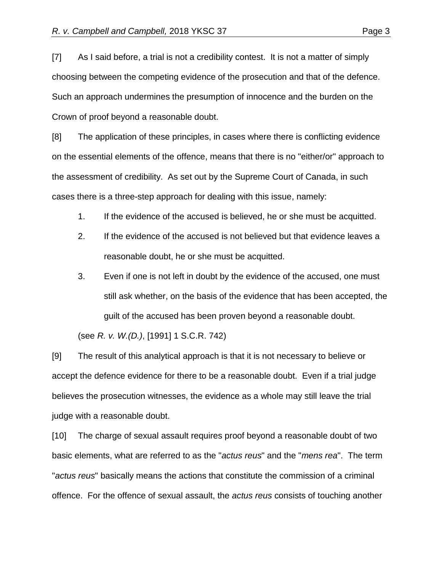[7] As I said before, a trial is not a credibility contest. It is not a matter of simply choosing between the competing evidence of the prosecution and that of the defence. Such an approach undermines the presumption of innocence and the burden on the Crown of proof beyond a reasonable doubt.

[8] The application of these principles, in cases where there is conflicting evidence on the essential elements of the offence, means that there is no "either/or" approach to the assessment of credibility. As set out by the Supreme Court of Canada, in such cases there is a three-step approach for dealing with this issue, namely:

- 1. If the evidence of the accused is believed, he or she must be acquitted.
- 2. If the evidence of the accused is not believed but that evidence leaves a reasonable doubt, he or she must be acquitted.
- 3. Even if one is not left in doubt by the evidence of the accused, one must still ask whether, on the basis of the evidence that has been accepted, the guilt of the accused has been proven beyond a reasonable doubt.

(see *R. v. W.(D.)*, [1991] 1 S.C.R. 742)

[9] The result of this analytical approach is that it is not necessary to believe or accept the defence evidence for there to be a reasonable doubt. Even if a trial judge believes the prosecution witnesses, the evidence as a whole may still leave the trial judge with a reasonable doubt.

[10] The charge of sexual assault requires proof beyond a reasonable doubt of two basic elements, what are referred to as the "*actus reus*" and the "*mens rea*". The term "*actus reus*" basically means the actions that constitute the commission of a criminal offence. For the offence of sexual assault, the *actus reus* consists of touching another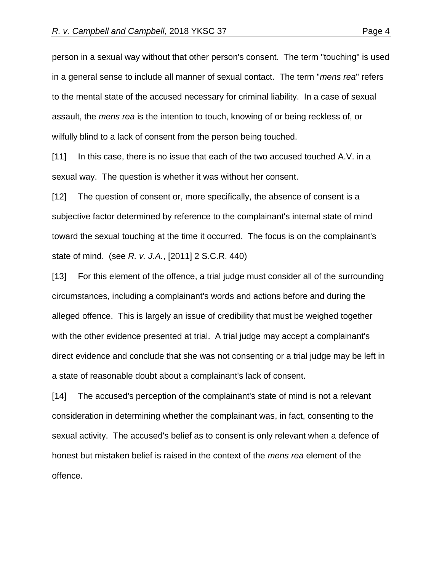person in a sexual way without that other person's consent. The term "touching" is used in a general sense to include all manner of sexual contact. The term "*mens rea*" refers to the mental state of the accused necessary for criminal liability. In a case of sexual assault, the *mens rea* is the intention to touch, knowing of or being reckless of, or wilfully blind to a lack of consent from the person being touched.

[11] In this case, there is no issue that each of the two accused touched A.V. in a sexual way. The question is whether it was without her consent.

[12] The question of consent or, more specifically, the absence of consent is a subjective factor determined by reference to the complainant's internal state of mind toward the sexual touching at the time it occurred. The focus is on the complainant's state of mind. (see *R. v. J.A.*, [2011] 2 S.C.R. 440)

[13] For this element of the offence, a trial judge must consider all of the surrounding circumstances, including a complainant's words and actions before and during the alleged offence. This is largely an issue of credibility that must be weighed together with the other evidence presented at trial. A trial judge may accept a complainant's direct evidence and conclude that she was not consenting or a trial judge may be left in a state of reasonable doubt about a complainant's lack of consent.

[14] The accused's perception of the complainant's state of mind is not a relevant consideration in determining whether the complainant was, in fact, consenting to the sexual activity. The accused's belief as to consent is only relevant when a defence of honest but mistaken belief is raised in the context of the *mens rea* element of the offence.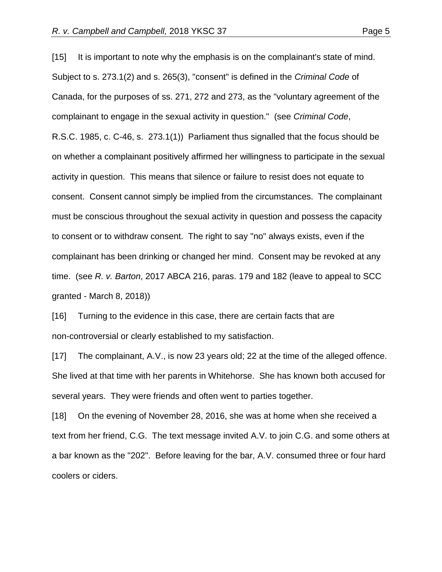[15] It is important to note why the emphasis is on the complainant's state of mind. Subject to s. 273.1(2) and s. 265(3), "consent" is defined in the *Criminal Code* of Canada, for the purposes of ss. 271, 272 and 273, as the "voluntary agreement of the complainant to engage in the sexual activity in question." (see *Criminal Code*, R.S.C. 1985, c. C-46, s. 273.1(1)) Parliament thus signalled that the focus should be on whether a complainant positively affirmed her willingness to participate in the sexual activity in question. This means that silence or failure to resist does not equate to consent. Consent cannot simply be implied from the circumstances. The complainant must be conscious throughout the sexual activity in question and possess the capacity to consent or to withdraw consent. The right to say "no" always exists, even if the complainant has been drinking or changed her mind. Consent may be revoked at any time. (see *R. v. Barton*, 2017 ABCA 216, paras. 179 and 182 (leave to appeal to SCC granted - March 8, 2018))

[16] Turning to the evidence in this case, there are certain facts that are non-controversial or clearly established to my satisfaction.

[17] The complainant, A.V., is now 23 years old; 22 at the time of the alleged offence. She lived at that time with her parents in Whitehorse. She has known both accused for several years. They were friends and often went to parties together.

[18] On the evening of November 28, 2016, she was at home when she received a text from her friend, C.G. The text message invited A.V. to join C.G. and some others at a bar known as the "202". Before leaving for the bar, A.V. consumed three or four hard coolers or ciders.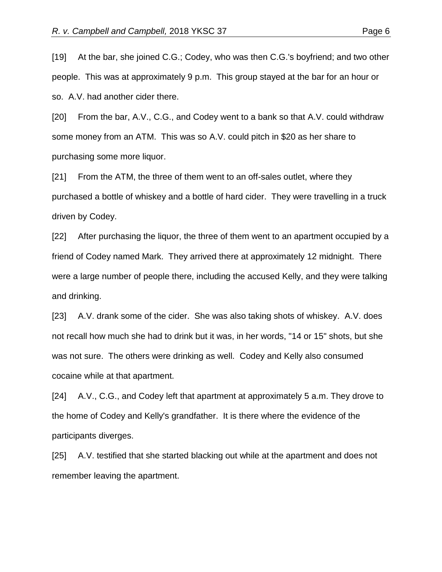[19] At the bar, she joined C.G.; Codey, who was then C.G.'s boyfriend; and two other people. This was at approximately 9 p.m. This group stayed at the bar for an hour or so. A.V. had another cider there.

[20] From the bar, A.V., C.G., and Codey went to a bank so that A.V. could withdraw some money from an ATM. This was so A.V. could pitch in \$20 as her share to purchasing some more liquor.

[21] From the ATM, the three of them went to an off-sales outlet, where they purchased a bottle of whiskey and a bottle of hard cider. They were travelling in a truck driven by Codey.

[22] After purchasing the liquor, the three of them went to an apartment occupied by a friend of Codey named Mark. They arrived there at approximately 12 midnight. There were a large number of people there, including the accused Kelly, and they were talking and drinking.

[23] A.V. drank some of the cider. She was also taking shots of whiskey. A.V. does not recall how much she had to drink but it was, in her words, "14 or 15" shots, but she was not sure. The others were drinking as well. Codey and Kelly also consumed cocaine while at that apartment.

[24] A.V., C.G., and Codey left that apartment at approximately 5 a.m. They drove to the home of Codey and Kelly's grandfather. It is there where the evidence of the participants diverges.

[25] A.V. testified that she started blacking out while at the apartment and does not remember leaving the apartment.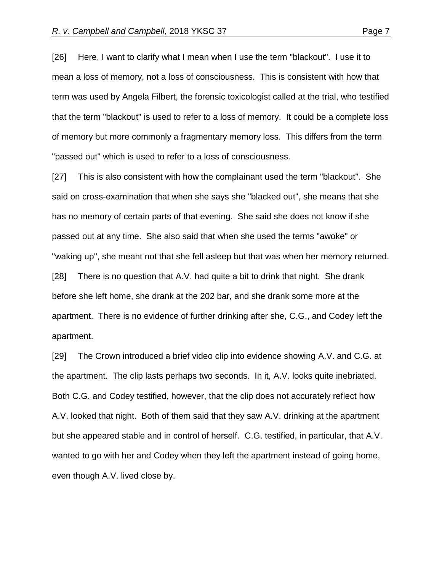apartment.

[26] Here, I want to clarify what I mean when I use the term "blackout". I use it to mean a loss of memory, not a loss of consciousness. This is consistent with how that term was used by Angela Filbert, the forensic toxicologist called at the trial, who testified that the term "blackout" is used to refer to a loss of memory. It could be a complete loss of memory but more commonly a fragmentary memory loss. This differs from the term "passed out" which is used to refer to a loss of consciousness.

[27] This is also consistent with how the complainant used the term "blackout". She said on cross-examination that when she says she "blacked out", she means that she has no memory of certain parts of that evening. She said she does not know if she passed out at any time. She also said that when she used the terms "awoke" or "waking up", she meant not that she fell asleep but that was when her memory returned. [28] There is no question that A.V. had quite a bit to drink that night. She drank before she left home, she drank at the 202 bar, and she drank some more at the apartment. There is no evidence of further drinking after she, C.G., and Codey left the

[29] The Crown introduced a brief video clip into evidence showing A.V. and C.G. at the apartment. The clip lasts perhaps two seconds. In it, A.V. looks quite inebriated. Both C.G. and Codey testified, however, that the clip does not accurately reflect how A.V. looked that night. Both of them said that they saw A.V. drinking at the apartment but she appeared stable and in control of herself. C.G. testified, in particular, that A.V. wanted to go with her and Codey when they left the apartment instead of going home, even though A.V. lived close by.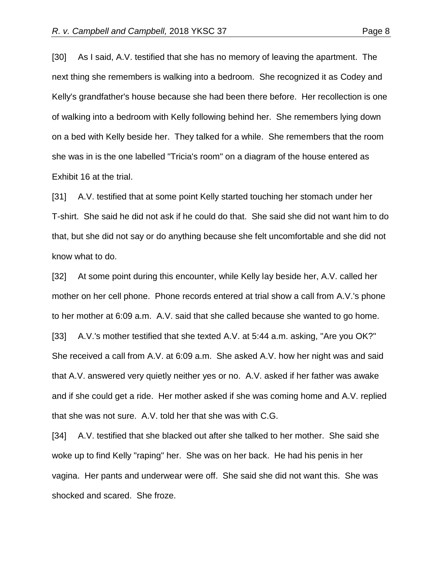[30] As I said, A.V. testified that she has no memory of leaving the apartment. The next thing she remembers is walking into a bedroom. She recognized it as Codey and Kelly's grandfather's house because she had been there before. Her recollection is one of walking into a bedroom with Kelly following behind her. She remembers lying down on a bed with Kelly beside her. They talked for a while. She remembers that the room she was in is the one labelled "Tricia's room" on a diagram of the house entered as Exhibit 16 at the trial.

[31] A.V. testified that at some point Kelly started touching her stomach under her T-shirt. She said he did not ask if he could do that. She said she did not want him to do that, but she did not say or do anything because she felt uncomfortable and she did not know what to do.

[32] At some point during this encounter, while Kelly lay beside her, A.V. called her mother on her cell phone. Phone records entered at trial show a call from A.V.'s phone to her mother at 6:09 a.m. A.V. said that she called because she wanted to go home. [33] A.V.'s mother testified that she texted A.V. at 5:44 a.m. asking, "Are you OK?" She received a call from A.V. at 6:09 a.m. She asked A.V. how her night was and said that A.V. answered very quietly neither yes or no. A.V. asked if her father was awake and if she could get a ride. Her mother asked if she was coming home and A.V. replied that she was not sure. A.V. told her that she was with C.G.

[34] A.V. testified that she blacked out after she talked to her mother. She said she woke up to find Kelly "raping" her. She was on her back. He had his penis in her vagina. Her pants and underwear were off. She said she did not want this. She was shocked and scared. She froze.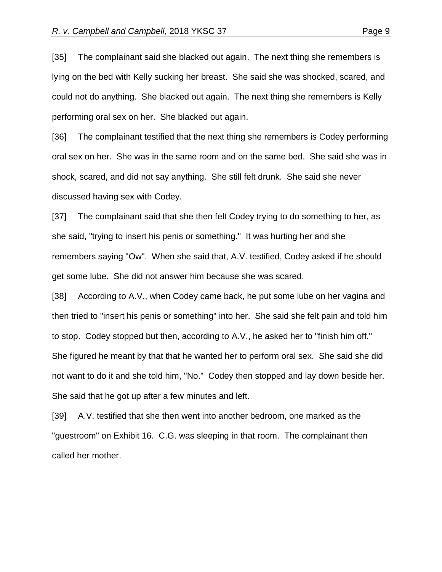[35] The complainant said she blacked out again. The next thing she remembers is lying on the bed with Kelly sucking her breast. She said she was shocked, scared, and could not do anything. She blacked out again. The next thing she remembers is Kelly performing oral sex on her. She blacked out again.

[36] The complainant testified that the next thing she remembers is Codey performing oral sex on her. She was in the same room and on the same bed. She said she was in shock, scared, and did not say anything. She still felt drunk. She said she never discussed having sex with Codey.

[37] The complainant said that she then felt Codey trying to do something to her, as she said, "trying to insert his penis or something." It was hurting her and she remembers saying "Ow". When she said that, A.V. testified, Codey asked if he should get some lube. She did not answer him because she was scared.

[38] According to A.V., when Codey came back, he put some lube on her vagina and then tried to "insert his penis or something" into her. She said she felt pain and told him to stop. Codey stopped but then, according to A.V., he asked her to "finish him off." She figured he meant by that that he wanted her to perform oral sex. She said she did not want to do it and she told him, "No." Codey then stopped and lay down beside her. She said that he got up after a few minutes and left.

[39] A.V. testified that she then went into another bedroom, one marked as the "guestroom" on Exhibit 16. C.G. was sleeping in that room. The complainant then called her mother.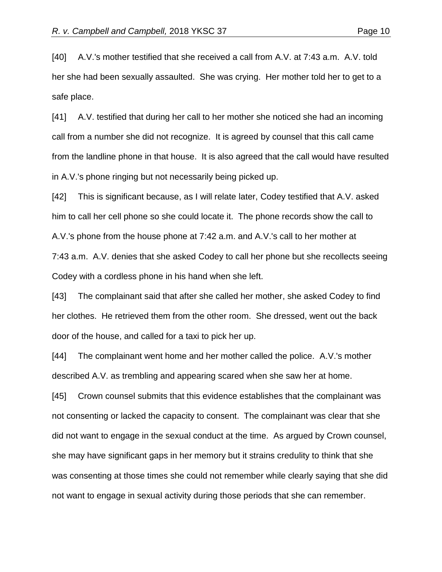safe place.

[40] A.V.'s mother testified that she received a call from A.V. at 7:43 a.m. A.V. told her she had been sexually assaulted. She was crying. Her mother told her to get to a

[41] A.V. testified that during her call to her mother she noticed she had an incoming call from a number she did not recognize. It is agreed by counsel that this call came from the landline phone in that house. It is also agreed that the call would have resulted in A.V.'s phone ringing but not necessarily being picked up.

[42] This is significant because, as I will relate later, Codey testified that A.V. asked him to call her cell phone so she could locate it. The phone records show the call to A.V.'s phone from the house phone at 7:42 a.m. and A.V.'s call to her mother at 7:43 a.m. A.V. denies that she asked Codey to call her phone but she recollects seeing Codey with a cordless phone in his hand when she left.

[43] The complainant said that after she called her mother, she asked Codey to find her clothes. He retrieved them from the other room. She dressed, went out the back door of the house, and called for a taxi to pick her up.

[44] The complainant went home and her mother called the police. A.V.'s mother described A.V. as trembling and appearing scared when she saw her at home.

[45] Crown counsel submits that this evidence establishes that the complainant was not consenting or lacked the capacity to consent. The complainant was clear that she did not want to engage in the sexual conduct at the time. As argued by Crown counsel, she may have significant gaps in her memory but it strains credulity to think that she was consenting at those times she could not remember while clearly saying that she did not want to engage in sexual activity during those periods that she can remember.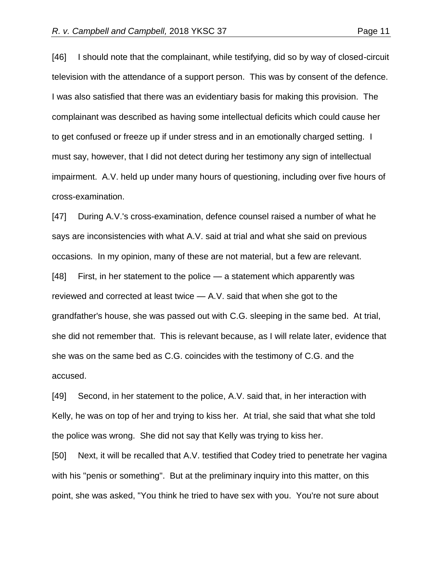[46] I should note that the complainant, while testifying, did so by way of closed-circuit television with the attendance of a support person. This was by consent of the defence. I was also satisfied that there was an evidentiary basis for making this provision. The complainant was described as having some intellectual deficits which could cause her to get confused or freeze up if under stress and in an emotionally charged setting. I must say, however, that I did not detect during her testimony any sign of intellectual impairment. A.V. held up under many hours of questioning, including over five hours of cross-examination.

[47] During A.V.'s cross-examination, defence counsel raised a number of what he says are inconsistencies with what A.V. said at trial and what she said on previous occasions. In my opinion, many of these are not material, but a few are relevant. [48] First, in her statement to the police — a statement which apparently was reviewed and corrected at least twice — A.V. said that when she got to the grandfather's house, she was passed out with C.G. sleeping in the same bed. At trial, she did not remember that. This is relevant because, as I will relate later, evidence that she was on the same bed as C.G. coincides with the testimony of C.G. and the accused.

[49] Second, in her statement to the police, A.V. said that, in her interaction with Kelly, he was on top of her and trying to kiss her. At trial, she said that what she told the police was wrong. She did not say that Kelly was trying to kiss her.

[50] Next, it will be recalled that A.V. testified that Codey tried to penetrate her vagina with his "penis or something". But at the preliminary inquiry into this matter, on this point, she was asked, "You think he tried to have sex with you. You're not sure about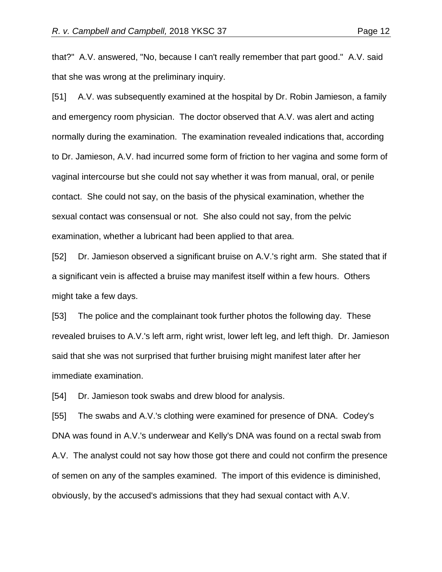that?" A.V. answered, "No, because I can't really remember that part good." A.V. said that she was wrong at the preliminary inquiry.

[51] A.V. was subsequently examined at the hospital by Dr. Robin Jamieson, a family and emergency room physician. The doctor observed that A.V. was alert and acting normally during the examination. The examination revealed indications that, according to Dr. Jamieson, A.V. had incurred some form of friction to her vagina and some form of vaginal intercourse but she could not say whether it was from manual, oral, or penile contact. She could not say, on the basis of the physical examination, whether the sexual contact was consensual or not. She also could not say, from the pelvic examination, whether a lubricant had been applied to that area.

[52] Dr. Jamieson observed a significant bruise on A.V.'s right arm. She stated that if a significant vein is affected a bruise may manifest itself within a few hours. Others might take a few days.

[53] The police and the complainant took further photos the following day. These revealed bruises to A.V.'s left arm, right wrist, lower left leg, and left thigh. Dr. Jamieson said that she was not surprised that further bruising might manifest later after her immediate examination.

[54] Dr. Jamieson took swabs and drew blood for analysis.

[55] The swabs and A.V.'s clothing were examined for presence of DNA. Codey's DNA was found in A.V.'s underwear and Kelly's DNA was found on a rectal swab from A.V. The analyst could not say how those got there and could not confirm the presence of semen on any of the samples examined. The import of this evidence is diminished, obviously, by the accused's admissions that they had sexual contact with A.V.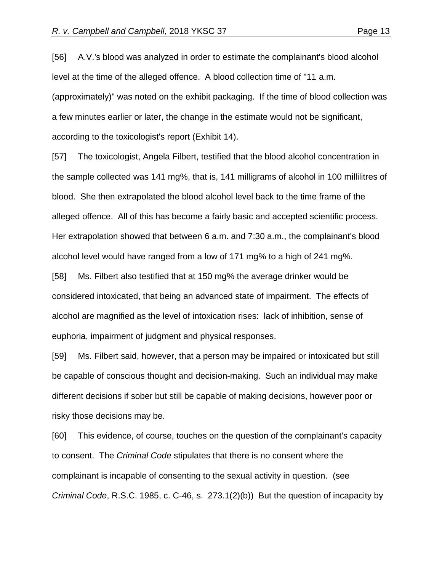[56] A.V.'s blood was analyzed in order to estimate the complainant's blood alcohol level at the time of the alleged offence. A blood collection time of "11 a.m. (approximately)" was noted on the exhibit packaging. If the time of blood collection was a few minutes earlier or later, the change in the estimate would not be significant, according to the toxicologist's report (Exhibit 14).

[57] The toxicologist, Angela Filbert, testified that the blood alcohol concentration in the sample collected was 141 mg%, that is, 141 milligrams of alcohol in 100 millilitres of blood. She then extrapolated the blood alcohol level back to the time frame of the alleged offence. All of this has become a fairly basic and accepted scientific process. Her extrapolation showed that between 6 a.m. and 7:30 a.m., the complainant's blood alcohol level would have ranged from a low of 171 mg% to a high of 241 mg%.

[58] Ms. Filbert also testified that at 150 mg% the average drinker would be considered intoxicated, that being an advanced state of impairment. The effects of alcohol are magnified as the level of intoxication rises: lack of inhibition, sense of euphoria, impairment of judgment and physical responses.

[59] Ms. Filbert said, however, that a person may be impaired or intoxicated but still be capable of conscious thought and decision-making. Such an individual may make different decisions if sober but still be capable of making decisions, however poor or risky those decisions may be.

[60] This evidence, of course, touches on the question of the complainant's capacity to consent. The *Criminal Code* stipulates that there is no consent where the complainant is incapable of consenting to the sexual activity in question. (see *Criminal Code*, R.S.C. 1985, c. C-46, s. 273.1(2)(b)) But the question of incapacity by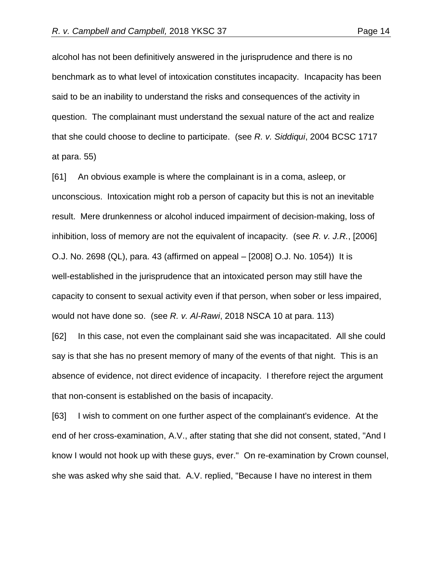alcohol has not been definitively answered in the jurisprudence and there is no benchmark as to what level of intoxication constitutes incapacity. Incapacity has been said to be an inability to understand the risks and consequences of the activity in question. The complainant must understand the sexual nature of the act and realize that she could choose to decline to participate. (see *R. v. Siddiqui*, 2004 BCSC 1717 at para. 55)

[61] An obvious example is where the complainant is in a coma, asleep, or unconscious. Intoxication might rob a person of capacity but this is not an inevitable result. Mere drunkenness or alcohol induced impairment of decision-making, loss of inhibition, loss of memory are not the equivalent of incapacity. (see *R. v. J.R.*, [2006] O.J. No. 2698 (QL), para. 43 (affirmed on appeal – [2008] O.J. No. 1054)) It is well-established in the jurisprudence that an intoxicated person may still have the capacity to consent to sexual activity even if that person, when sober or less impaired, would not have done so. (see *R. v. Al-Rawi*, 2018 NSCA 10 at para. 113)

[62] In this case, not even the complainant said she was incapacitated. All she could say is that she has no present memory of many of the events of that night. This is an absence of evidence, not direct evidence of incapacity. I therefore reject the argument that non-consent is established on the basis of incapacity.

[63] I wish to comment on one further aspect of the complainant's evidence. At the end of her cross-examination, A.V., after stating that she did not consent, stated, "And I know I would not hook up with these guys, ever." On re-examination by Crown counsel, she was asked why she said that. A.V. replied, "Because I have no interest in them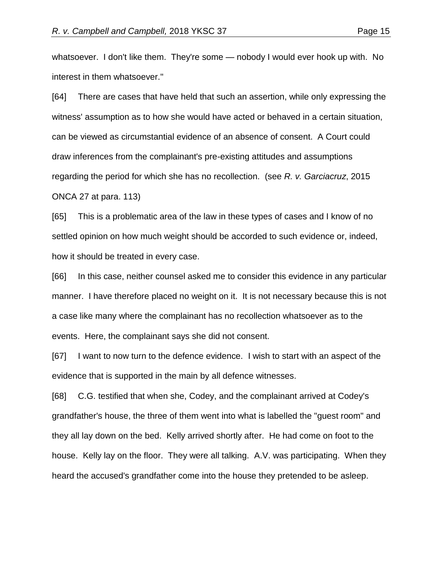whatsoever. I don't like them. They're some — nobody I would ever hook up with. No interest in them whatsoever."

[64] There are cases that have held that such an assertion, while only expressing the witness' assumption as to how she would have acted or behaved in a certain situation, can be viewed as circumstantial evidence of an absence of consent. A Court could draw inferences from the complainant's pre-existing attitudes and assumptions regarding the period for which she has no recollection. (see *R. v. Garciacruz*, 2015 ONCA 27 at para. 113)

[65] This is a problematic area of the law in these types of cases and I know of no settled opinion on how much weight should be accorded to such evidence or, indeed, how it should be treated in every case.

[66] In this case, neither counsel asked me to consider this evidence in any particular manner. I have therefore placed no weight on it. It is not necessary because this is not a case like many where the complainant has no recollection whatsoever as to the events. Here, the complainant says she did not consent.

[67] I want to now turn to the defence evidence. I wish to start with an aspect of the evidence that is supported in the main by all defence witnesses.

[68] C.G. testified that when she, Codey, and the complainant arrived at Codey's grandfather's house, the three of them went into what is labelled the "guest room" and they all lay down on the bed. Kelly arrived shortly after. He had come on foot to the house. Kelly lay on the floor. They were all talking. A.V. was participating. When they heard the accused's grandfather come into the house they pretended to be asleep.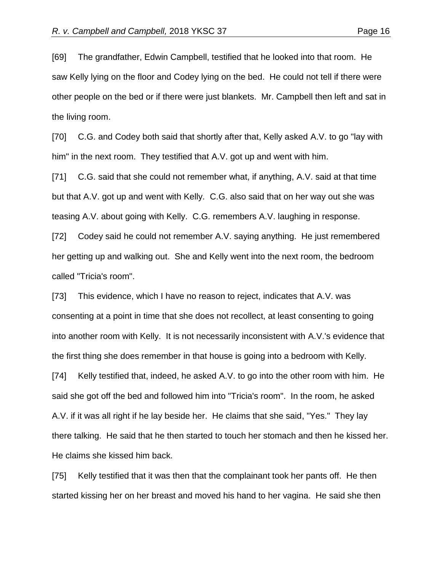[69] The grandfather, Edwin Campbell, testified that he looked into that room. He saw Kelly lying on the floor and Codey lying on the bed. He could not tell if there were other people on the bed or if there were just blankets. Mr. Campbell then left and sat in the living room.

[70] C.G. and Codey both said that shortly after that, Kelly asked A.V. to go "lay with him" in the next room. They testified that A.V. got up and went with him.

[71] C.G. said that she could not remember what, if anything, A.V. said at that time but that A.V. got up and went with Kelly. C.G. also said that on her way out she was teasing A.V. about going with Kelly. C.G. remembers A.V. laughing in response.

[72] Codey said he could not remember A.V. saying anything. He just remembered her getting up and walking out. She and Kelly went into the next room, the bedroom called "Tricia's room".

[73] This evidence, which I have no reason to reject, indicates that A.V. was consenting at a point in time that she does not recollect, at least consenting to going into another room with Kelly. It is not necessarily inconsistent with A.V.'s evidence that the first thing she does remember in that house is going into a bedroom with Kelly. [74] Kelly testified that, indeed, he asked A.V. to go into the other room with him. He said she got off the bed and followed him into "Tricia's room". In the room, he asked A.V. if it was all right if he lay beside her. He claims that she said, "Yes." They lay there talking. He said that he then started to touch her stomach and then he kissed her. He claims she kissed him back.

[75] Kelly testified that it was then that the complainant took her pants off. He then started kissing her on her breast and moved his hand to her vagina. He said she then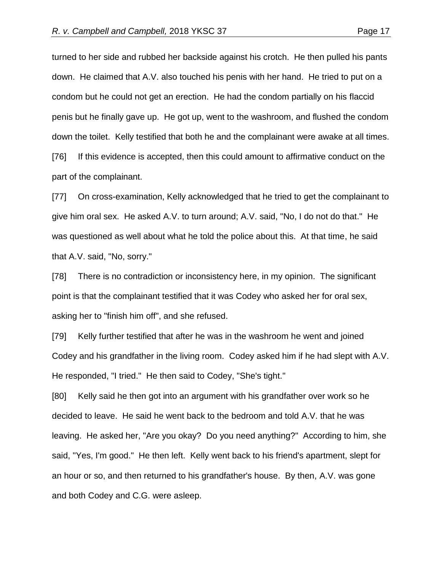turned to her side and rubbed her backside against his crotch. He then pulled his pants down. He claimed that A.V. also touched his penis with her hand. He tried to put on a condom but he could not get an erection. He had the condom partially on his flaccid penis but he finally gave up. He got up, went to the washroom, and flushed the condom down the toilet. Kelly testified that both he and the complainant were awake at all times. [76] If this evidence is accepted, then this could amount to affirmative conduct on the part of the complainant.

[77] On cross-examination, Kelly acknowledged that he tried to get the complainant to give him oral sex. He asked A.V. to turn around; A.V. said, "No, I do not do that." He was questioned as well about what he told the police about this. At that time, he said that A.V. said, "No, sorry."

[78] There is no contradiction or inconsistency here, in my opinion. The significant point is that the complainant testified that it was Codey who asked her for oral sex, asking her to "finish him off", and she refused.

[79] Kelly further testified that after he was in the washroom he went and joined Codey and his grandfather in the living room. Codey asked him if he had slept with A.V. He responded, "I tried." He then said to Codey, "She's tight."

[80] Kelly said he then got into an argument with his grandfather over work so he decided to leave. He said he went back to the bedroom and told A.V. that he was leaving. He asked her, "Are you okay? Do you need anything?" According to him, she said, "Yes, I'm good." He then left. Kelly went back to his friend's apartment, slept for an hour or so, and then returned to his grandfather's house. By then, A.V. was gone and both Codey and C.G. were asleep.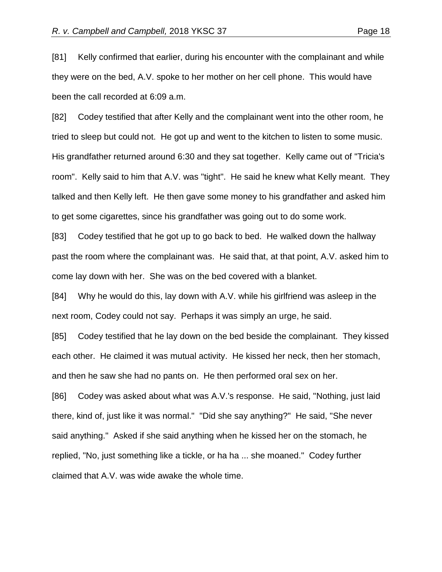[81] Kelly confirmed that earlier, during his encounter with the complainant and while they were on the bed, A.V. spoke to her mother on her cell phone. This would have been the call recorded at 6:09 a.m.

[82] Codey testified that after Kelly and the complainant went into the other room, he tried to sleep but could not. He got up and went to the kitchen to listen to some music. His grandfather returned around 6:30 and they sat together. Kelly came out of "Tricia's room". Kelly said to him that A.V. was "tight". He said he knew what Kelly meant. They talked and then Kelly left. He then gave some money to his grandfather and asked him to get some cigarettes, since his grandfather was going out to do some work.

[83] Codey testified that he got up to go back to bed. He walked down the hallway past the room where the complainant was. He said that, at that point, A.V. asked him to come lay down with her. She was on the bed covered with a blanket.

[84] Why he would do this, lay down with A.V. while his girlfriend was asleep in the next room, Codey could not say. Perhaps it was simply an urge, he said.

[85] Codey testified that he lay down on the bed beside the complainant. They kissed each other. He claimed it was mutual activity. He kissed her neck, then her stomach, and then he saw she had no pants on. He then performed oral sex on her.

[86] Codey was asked about what was A.V.'s response. He said, "Nothing, just laid there, kind of, just like it was normal." "Did she say anything?" He said, "She never said anything." Asked if she said anything when he kissed her on the stomach, he replied, "No, just something like a tickle, or ha ha ... she moaned." Codey further claimed that A.V. was wide awake the whole time.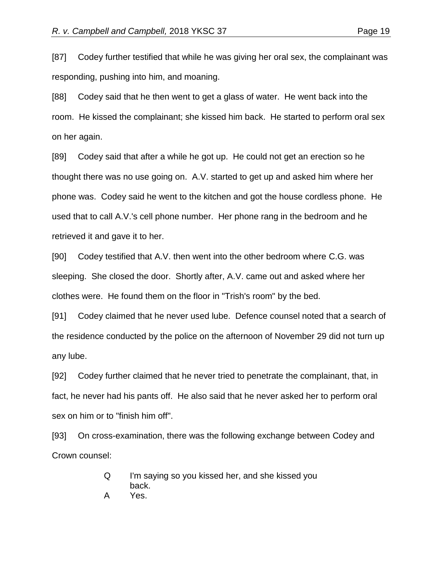[87] Codey further testified that while he was giving her oral sex, the complainant was responding, pushing into him, and moaning.

[88] Codey said that he then went to get a glass of water. He went back into the room. He kissed the complainant; she kissed him back. He started to perform oral sex on her again.

[89] Codey said that after a while he got up. He could not get an erection so he thought there was no use going on. A.V. started to get up and asked him where her phone was. Codey said he went to the kitchen and got the house cordless phone. He used that to call A.V.'s cell phone number. Her phone rang in the bedroom and he retrieved it and gave it to her.

[90] Codey testified that A.V. then went into the other bedroom where C.G. was sleeping. She closed the door. Shortly after, A.V. came out and asked where her clothes were. He found them on the floor in "Trish's room" by the bed.

[91] Codey claimed that he never used lube. Defence counsel noted that a search of the residence conducted by the police on the afternoon of November 29 did not turn up any lube.

[92] Codey further claimed that he never tried to penetrate the complainant, that, in fact, he never had his pants off. He also said that he never asked her to perform oral sex on him or to "finish him off".

[93] On cross-examination, there was the following exchange between Codey and Crown counsel:

> Q I'm saying so you kissed her, and she kissed you back. A Yes.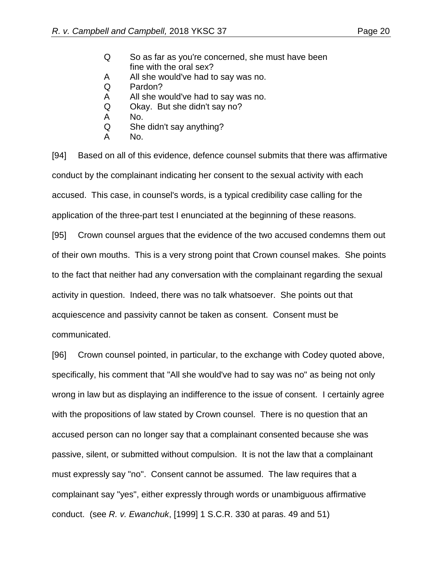- Q So as far as you're concerned, she must have been fine with the oral sex?
- A All she would've had to say was no.
- Q Pardon?
- A All she would've had to say was no.
- Q Okay. But she didn't say no?
- A No.
- Q She didn't say anything?
- A No.

[94] Based on all of this evidence, defence counsel submits that there was affirmative conduct by the complainant indicating her consent to the sexual activity with each accused. This case, in counsel's words, is a typical credibility case calling for the application of the three-part test I enunciated at the beginning of these reasons.

[95] Crown counsel argues that the evidence of the two accused condemns them out of their own mouths. This is a very strong point that Crown counsel makes. She points to the fact that neither had any conversation with the complainant regarding the sexual activity in question. Indeed, there was no talk whatsoever. She points out that acquiescence and passivity cannot be taken as consent. Consent must be communicated.

[96] Crown counsel pointed, in particular, to the exchange with Codey quoted above, specifically, his comment that "All she would've had to say was no" as being not only wrong in law but as displaying an indifference to the issue of consent. I certainly agree with the propositions of law stated by Crown counsel. There is no question that an accused person can no longer say that a complainant consented because she was passive, silent, or submitted without compulsion. It is not the law that a complainant must expressly say "no". Consent cannot be assumed. The law requires that a complainant say "yes", either expressly through words or unambiguous affirmative conduct. (see *R. v. Ewanchuk*, [1999] 1 S.C.R. 330 at paras. 49 and 51)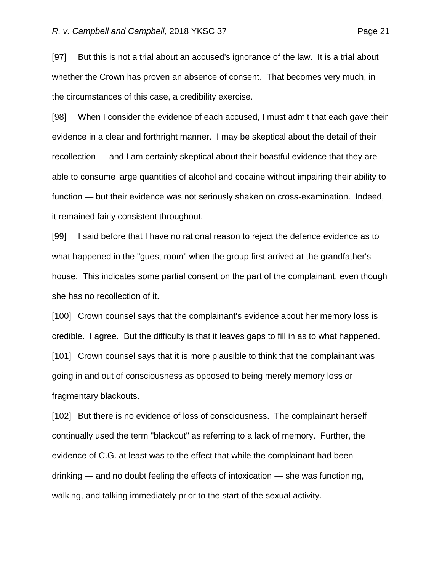[97] But this is not a trial about an accused's ignorance of the law. It is a trial about whether the Crown has proven an absence of consent. That becomes very much, in the circumstances of this case, a credibility exercise.

[98] When I consider the evidence of each accused, I must admit that each gave their evidence in a clear and forthright manner. I may be skeptical about the detail of their recollection — and I am certainly skeptical about their boastful evidence that they are able to consume large quantities of alcohol and cocaine without impairing their ability to function — but their evidence was not seriously shaken on cross-examination. Indeed, it remained fairly consistent throughout.

[99] I said before that I have no rational reason to reject the defence evidence as to what happened in the "guest room" when the group first arrived at the grandfather's house. This indicates some partial consent on the part of the complainant, even though she has no recollection of it.

[100] Crown counsel says that the complainant's evidence about her memory loss is credible. I agree. But the difficulty is that it leaves gaps to fill in as to what happened. [101] Crown counsel says that it is more plausible to think that the complainant was going in and out of consciousness as opposed to being merely memory loss or fragmentary blackouts.

[102] But there is no evidence of loss of consciousness. The complainant herself continually used the term "blackout" as referring to a lack of memory. Further, the evidence of C.G. at least was to the effect that while the complainant had been drinking — and no doubt feeling the effects of intoxication — she was functioning, walking, and talking immediately prior to the start of the sexual activity.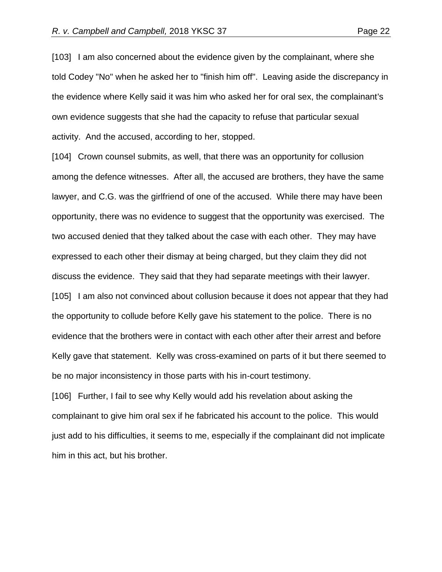[103] I am also concerned about the evidence given by the complainant, where she told Codey "No" when he asked her to "finish him off". Leaving aside the discrepancy in the evidence where Kelly said it was him who asked her for oral sex, the complainant's own evidence suggests that she had the capacity to refuse that particular sexual activity. And the accused, according to her, stopped.

[104] Crown counsel submits, as well, that there was an opportunity for collusion among the defence witnesses. After all, the accused are brothers, they have the same lawyer, and C.G. was the girlfriend of one of the accused. While there may have been opportunity, there was no evidence to suggest that the opportunity was exercised. The two accused denied that they talked about the case with each other. They may have expressed to each other their dismay at being charged, but they claim they did not discuss the evidence. They said that they had separate meetings with their lawyer. [105] I am also not convinced about collusion because it does not appear that they had the opportunity to collude before Kelly gave his statement to the police. There is no evidence that the brothers were in contact with each other after their arrest and before Kelly gave that statement. Kelly was cross-examined on parts of it but there seemed to be no major inconsistency in those parts with his in-court testimony.

[106] Further, I fail to see why Kelly would add his revelation about asking the complainant to give him oral sex if he fabricated his account to the police. This would just add to his difficulties, it seems to me, especially if the complainant did not implicate him in this act, but his brother.